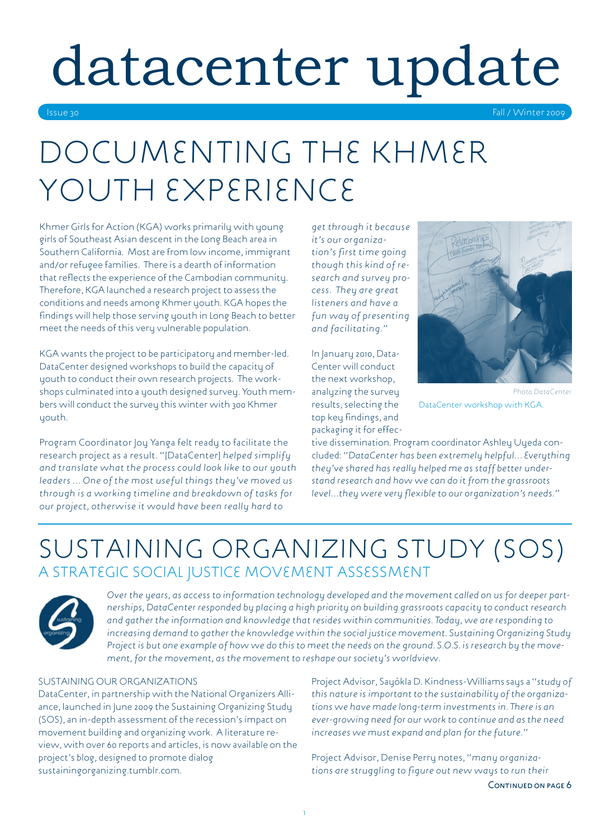# datacenter update

Issue 30 Fall / Winter 2009

# DOCUMENTING THE KHMER YOUTH EXPERIENCE

Khmer Girls for Action (KGA) works primarily with young girls of Southeast Asian descent in the Long Beach area in Southern California. Most are from low income, immigrant and/or refugee families. There is a dearth of information that reflects the experience of the Cambodian community. Therefore, KGA launched a research project to assess the conditions and needs among Khmer youth. KGA hopes the findings will help those serving youth in Long Beach to better meet the needs of this very vulnerable population.

KGA wants the project to be participatory and member-led. DataCenter designed workshops to build the capacity of youth to conduct their own research projects. The workshops culminated into a youth designed survey. Youth members will conduct the survey this winter with 300 Khmer youth.

Program Coordinator Joy Yanga felt ready to facilitate the research project as a result. "[DataCenter] *helped simplify and translate what the process could look like to our youth leaders … One of the most useful things they've moved us through is a working timeline and breakdown of tasks for our project, otherwise it would have been really hard to* 

*get through it because it's our organization's first time going though this kind of research and survey process. They are great listeners and have a fun way of presenting and facilitating."*

In January 2010, Data-Center will conduct the next workshop, analyzing the survey results, selecting the top key findings, and packaging it for effec-



**Photo DataCente** DataCenter workshop with KGA.

tive dissemination. Program coordinator Ashley Uyeda concluded: "*DataCenter has been extremely helpful… Everything they've shared has really helped me as staff better understand research and how we can do it from the grassroots level…they were very flexible to our organization's needs."*

### Sustaining Organizing Study (SOS) A Strategic Social Justice Movement Assessment



*Over the years, as access to information technology developed and the movement called on us for deeper partnerships, DataCenter responded by placing a high priority on building grassroots capacity to conduct research and gather the information and knowledge that resides within communities. Today, we are responding to increasing demand to gather the knowledge within the social justice movement. Sustaining Organizing Study Project is but one example of how we do this to meet the needs on the ground. S.O.S. is research by the movement, for the movement, as the movement to reshape our society's worldview.*

#### Sustaining Our Organizations

DataCenter, in partnership with the National Organizers Alliance, launched in June 2009 the Sustaining Organizing Study (SOS), an in-depth assessment of the recession's impact on movement building and organizing work. A literature review, with over 60 reports and articles, is now available on the project's blog, designed to promote dialog sustainingorganizing.tumblr.com.

Project Advisor, Sayòkla D. Kindness-Williamssays a *"study of this nature is important to the sustainability of the organizations we have made long-term investments in. There is an ever-growing need for our work to continue and as the need increases we must expand and plan for the future."*

Project Advisor, Denise Perry notes, *"many organizations are struggling to figure out new ways to run their*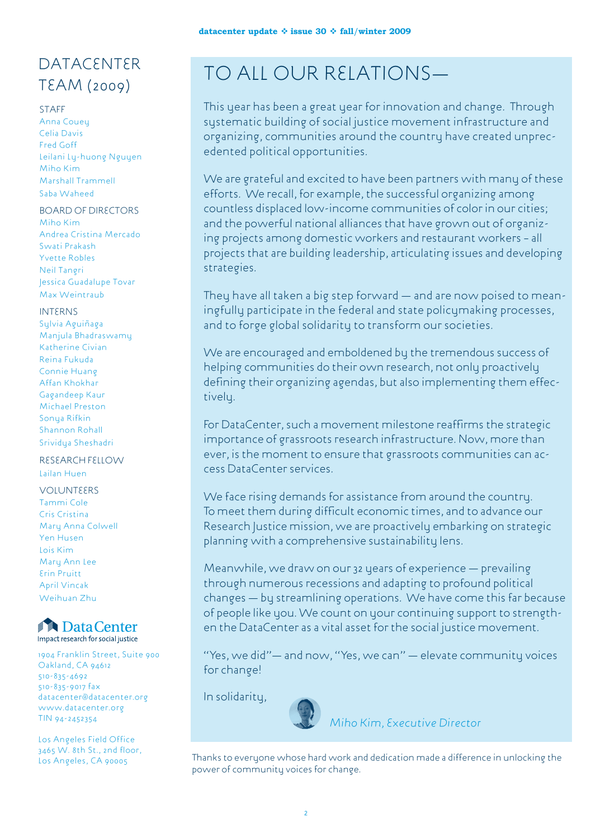# **DATACENTER**

#### **STAFF**

Anna Couey Celia Davis Fred Goff Leilani Ly-huong Nguyen Miho Kim Marshall Trammell Saba Waheed

#### Board of Directors

Miho Kim Andrea Cristina Mercado Swati Prakash Yvette Robles Neil Tangri Jessica Guadalupe Tovar Max Weintraub

#### **INTERNS**

Sylvia Aguiñaga Manjula Bhadraswamy Katherine Civian Reina Fukuda Connie Huang Affan Khokhar Gagandeep Kaur Michael Preston Sonya Rifkin Shannon Rohall Srividya Sheshadri

#### Research Fellow Lailan Huen

**VOLUNTEERS** Tammi Cole Cris Cristina Mary Anna Colwell Yen Husen Lois Kim Mary Ann Lee Erin Pruitt April Vincak Weihuan Zhu



1904 Franklin Street, Suite 900 Oakland, CA 94612 510-835-4692 510-835-9017 fax datacenter@datacenter.org www.datacenter.org TIN 94-2452354

Los Angeles Field Office 3465 W. 8th St., 2nd floor,

# DATACENTER<br>TEAM (2009) TO ALL OUR RELATIONS—

This year has been a great year for innovation and change. Through systematic building of social justice movement infrastructure and organizing, communities around the country have created unprecedented political opportunities.

We are grateful and excited to have been partners with many of these efforts. We recall, for example, the successful organizing among countless displaced low-income communities of color in our cities; and the powerful national alliances that have grown out of organizing projects among domestic workers and restaurant workers – all projects that are building leadership, articulating issues and developing strategies.

They have all taken a big step forward — and are now poised to meaningfully participate in the federal and state policymaking processes, and to forge global solidarity to transform our societies.

We are encouraged and emboldened by the tremendous success of helping communities do their own research, not only proactively defining their organizing agendas, but also implementing them effectively.

For DataCenter, such a movement milestone reaffirms the strategic importance of grassroots research infrastructure. Now, more than ever, is the moment to ensure that grassroots communities can access DataCenter services.

We face rising demands for assistance from around the country. To meet them during difficult economic times, and to advance our Research Justice mission, we are proactively embarking on strategic planning with a comprehensive sustainability lens.

Meanwhile, we draw on our 32 years of experience — prevailing through numerous recessions and adapting to profound political changes — by streamlining operations. We have come this far because of people like you. We count on your continuing support to strengthen the DataCenter as a vital asset for the social justice movement.

"Yes, we did"— and now, "Yes, we can" — elevate community voices for change!

In solidarity,



*Miho Kim, Executive Director*

Los Angeles, CA 90005 Thanks to everyone whose hard work and dedication made a difference in unlocking the power of community voices for change.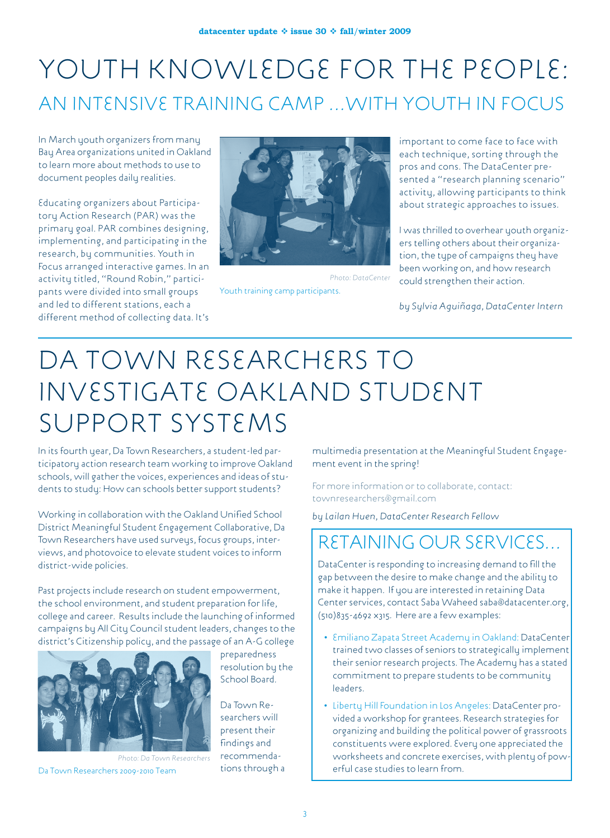## YOUTH KNOWLEDGE FOR THE PEOPLE: An Intensive Training Camp …with Youth in Focus

In March youth organizers from many Bay Area organizations united in Oakland to learn more about methods to use to document peoples daily realities.

Educating organizers about Participatory Action Research (PAR) was the primary goal. PAR combines designing, implementing, and participating in the research, by communities. Youth in Focus arranged interactive games. In an activity titled, "Round Robin," participants were divided into small groups and led to different stations, each a different method of collecting data. It's



*Photo: DataCenter*  Youth training camp participants.

important to come face to face with each technique, sorting through the pros and cons. The DataCenter presented a "research planning scenario" activity, allowing participants to think about strategic approaches to issues.

I was thrilled to overhear youth organizers telling others about their organization, the type of campaigns they have been working on, and how research could strengthen their action.

*by Sylvia Aguiñaga, DataCenter Intern*

# Da Town Researchers to Investigate Oakland Student Support Systems

In its fourth year, Da Town Researchers, a student-led participatory action research team working to improve Oakland schools, will gather the voices, experiences and ideas of students to study: How can schools better support students?

Working in collaboration with the Oakland Unified School District Meaningful Student Engagement Collaborative, Da Town Researchers have used surveys, focus groups, interviews, and photovoice to elevate student voices to inform district-wide policies.

Past projects include research on student empowerment, the school environment, and student preparation for life, college and career. Results include the launching of informed campaigns by All City Council student leaders, changes to the district's Citizenship policy, and the passage of an A-G college



*Photo: Da Town Researchers*  Da Town Researchers 2009-2010 Team

preparedness resolution by the School Board.

Da Town Researchers will present their findings and recommendations through a multimedia presentation at the Meaningful Student Engagement event in the spring!

For more information or to collaborate, contact: townresearchers@gmail.com

*by Lailan Huen, DataCenter Research Fellow*

### Retaining our services…

DataCenter is responding to increasing demand to fill the gap between the desire to make change and the ability to make it happen. If you are interested in retaining Data Center services, contact Saba Waheed saba@datacenter.org, (510)835-4692 x315. Here are a few examples:

- Emiliano Zapata Street Academy in Oakland: DataCenter trained two classes of seniors to strategically implement their senior research projects. The Academy has a stated commitment to prepare students to be community leaders.
- Liberty Hill Foundation in Los Angeles: DataCenter provided a workshop for grantees. Research strategies for organizing and building the political power of grassroots constituents were explored. Every one appreciated the worksheets and concrete exercises, with plenty of powerful case studies to learn from.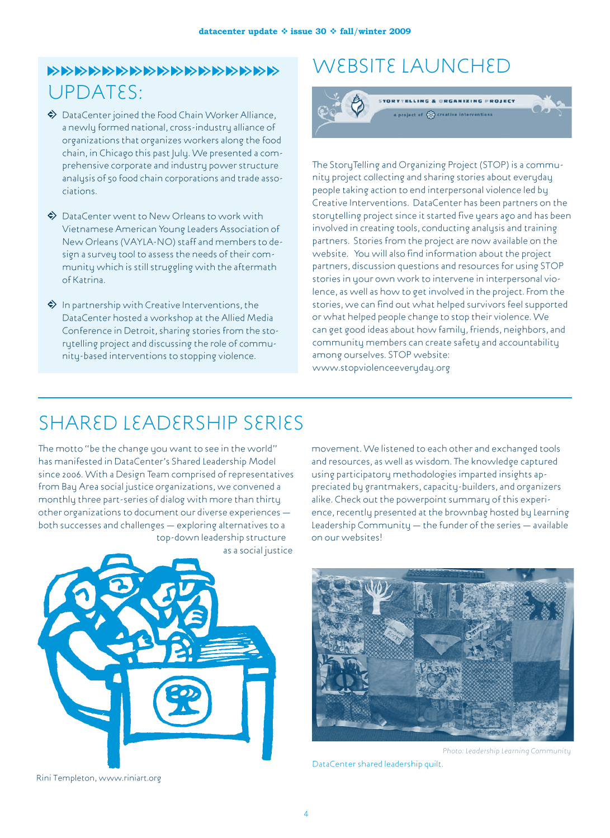### UPDATES: ttttttttttttttttt

- $\blacklozenge$  DataCenter joined the Food Chain Worker Alliance, a newly formed national, cross-industry alliance of organizations that organizes workers along the food chain, in Chicago this past July. We presented a comprehensive corporate and industry power structure analysis of 50 food chain corporations and trade associations.
- $\Leftrightarrow$  DataCenter went to New Orleans to work with Vietnamese American Young Leaders Association of New Orleans (VAYLA-NO) staff and members to design a survey tool to assess the needs of their community which is still struggling with the aftermath of Katrina.
- $\Leftrightarrow$  In partnership with Creative Interventions, the DataCenter hosted a workshop at the Allied Media Conference in Detroit, sharing stories from the storytelling project and discussing the role of community-based interventions to stopping violence.

### WEBSITE LAUNCHED



The StoruTelling and Organizing Project (STOP) is a community project collecting and sharing stories about everyday people taking action to end interpersonal violence led by Creative Interventions. DataCenter has been partners on the storytelling project since it started five years ago and has been involved in creating tools, conducting analysis and training partners. Stories from the project are now available on the website. You will also find information about the project partners, discussion questions and resources for using STOP stories in your own work to intervene in interpersonal violence, as well as how to get involved in the project. From the stories, we can find out what helped survivors feel supported or what helped people change to stop their violence. We can get good ideas about how family, friends, neighbors, and community members can create safety and accountability among ourselves. STOP website: www.stopviolenceeveryday.org

### Shared leadership series

The motto "be the change you want to see in the world" has manifested in DataCenter's Shared Leadership Model since 2006. With a Design Team comprised of representatives from Bay Area social justice organizations, we convened a monthly three part-series of dialog with more than thirty other organizations to document our diverse experiences both successes and challenges — exploring alternatives to a top-down leadership structure as a social justice



Rini Templeton, www.riniart.org

movement. We listened to each other and exchanged tools and resources, as well as wisdom. The knowledge captured using participatory methodologies imparted insights appreciated by grantmakers, capacity-builders, and organizers alike. Check out the powerpoint summary of this experience, recently presented at the brownbag hosted by Learning Leadership Community — the funder of the series — available on our websites!



*Photo: Leadership Learning Community*

DataCenter shared leadership quilt.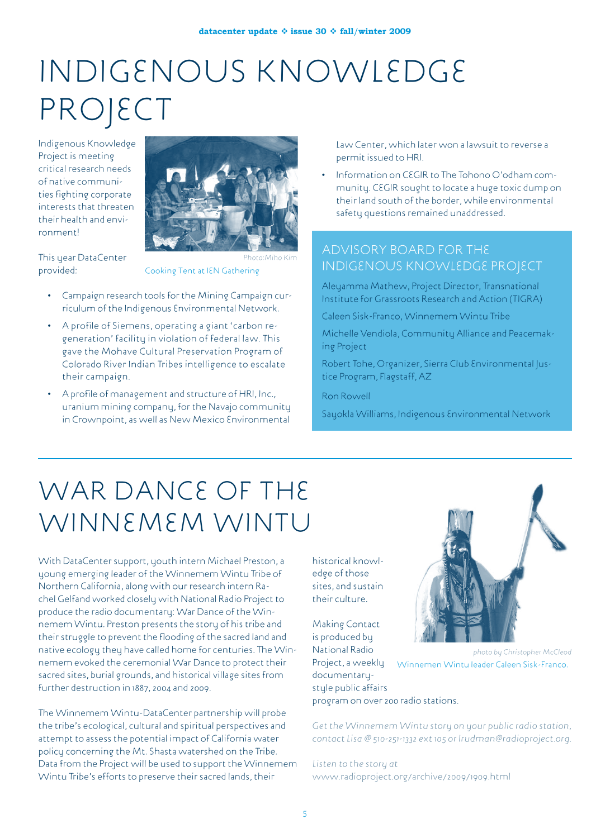# Indigenous Knowledge PROJECT

Indigenous Knowledge Project is meeting critical research needs of native communities fighting corporate interests that threaten their health and environment!



This year DataCenter provided:

*Photo:Miho Kim* Cooking Tent at IEN Gathering

- Campaign research tools for the Mining Campaign curriculum of the Indigenous Environmental Network.
- A profile of Siemens, operating a giant 'carbon regeneration' facility in violation of federal law. This gave the Mohave Cultural Preservation Program of Colorado River Indian Tribes intelligence to escalate their campaign.
- A profile of management and structure of HRI, Inc., uranium mining company, for the Navajo community in Crownpoint, as well as New Mexico Environmental

Law Center, which later won a lawsuit to reverse a permit issued to HRI.

• Information on CEGIR to The Tohono O'odham community. CEGIR sought to locate a huge toxic dump on their land south of the border, while environmental safety questions remained unaddressed.

#### Advisory Board for the indigenous knowledge project

Aleyamma Mathew, Project Director, Transnational Institute for Grassroots Research and Action (TIGRA)

Caleen Sisk-Franco, Winnemem Wintu Tribe

Michelle Vendiola, Community Alliance and Peacemaking Project

Robert Tohe, Organizer, Sierra Club Environmental Justice Program, Flagstaff, AZ

Ron Rowell

Sayokla Williams, Indigenous Environmental Network

# WAR DANCE OF THE Winnemem wintu

With DataCenter support, youth intern Michael Preston, a young emerging leader of the Winnemem Wintu Tribe of Northern California, along with our research intern Rachel Gelfand worked closely with National Radio Project to produce the radio documentary: War Dance of the Winnemem Wintu. Preston presents the story of his tribe and their struggle to prevent the flooding of the sacred land and native ecology they have called home for centuries. The Winnemem evoked the ceremonial War Dance to protect their sacred sites, burial grounds, and historical village sites from further destruction in 1887, 2004 and 2009.

The Winnemem Wintu-DataCenter partnership will probe the tribe's ecological, cultural and spiritual perspectives and attempt to assess the potential impact of California water policy concerning the Mt. Shasta watershed on the Tribe. Data from the Project will be used to support the Winnemem Wintu Tribe's efforts to preserve their sacred lands, their

historical knowledge of those sites, and sustain their culture.

Making Contact is produced by National Radio Project, a weekly documentarystyle public affairs



*photo by Christopher McCleod* Winnemen Wintu leader Caleen Sisk-Franco.

program on over 200 radio stations.

*Get the Winnemem Wintu story on your public radio station, contact Lisa @ 510-251-1332 ext 105 or lrudman@radioproject.org.*

*Listen to the story at*  www.radioproject.org/archive/2009/1909.html